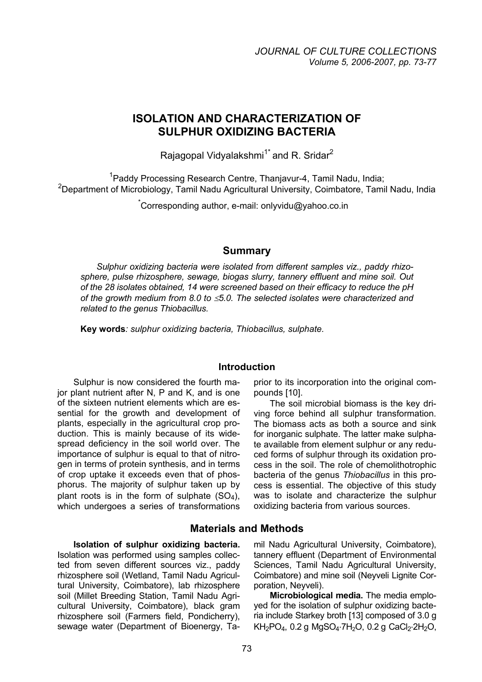# **ISOLATION AND CHARACTERIZATION OF SULPHUR OXIDIZING BACTERIA**

Rajagopal Vidyalakshmi<sup>1\*</sup> and R. Sridar<sup>2</sup>

<sup>1</sup> Paddy Processing Research Centre, Thanjavur-4, Tamil Nadu, India; <sup>2</sup>Department of Microbiology, Tamil Nadu Agricultural University, Coimbatore, Tamil Nadu, India

\* Corresponding author, e-mail: onlyvidu@yahoo.co.in

### **Summary**

*Sulphur oxidizing bacteria were isolated from different samples viz., paddy rhizosphere, pulse rhizosphere, sewage, biogas slurry, tannery effluent and mine soil. Out of the 28 isolates obtained, 14 were screened based on their efficacy to reduce the pH of the growth medium from 8.0 to* ≤*5.0. The selected isolates were characterized and related to the genus Thiobacillus.* 

**Key words***: sulphur oxidizing bacteria, Thiobacillus, sulphate.* 

#### **Introduction**

Sulphur is now considered the fourth major plant nutrient after N, P and K, and is one of the sixteen nutrient elements which are essential for the growth and development of plants, especially in the agricultural crop production. This is mainly because of its widespread deficiency in the soil world over. The importance of sulphur is equal to that of nitrogen in terms of protein synthesis, and in terms of crop uptake it exceeds even that of phosphorus. The majority of sulphur taken up by plant roots is in the form of sulphate  $(SO<sub>4</sub>)$ , which undergoes a series of transformations

prior to its incorporation into the original compounds [10].

The soil microbial biomass is the key driving force behind all sulphur transformation. The biomass acts as both a source and sink for inorganic sulphate. The latter make sulphate available from element sulphur or any reduced forms of sulphur through its oxidation process in the soil. The role of chemolithotrophic bacteria of the genus *Thiobacillus* in this process is essential. The objective of this study was to isolate and characterize the sulphur oxidizing bacteria from various sources.

### **Materials and Methods**

**Isolation of sulphur oxidizing bacteria.**

Isolation was performed using samples collected from seven different sources viz., paddy rhizosphere soil (Wetland, Tamil Nadu Agricultural University, Coimbatore), lab rhizosphere soil (Millet Breeding Station, Tamil Nadu Agricultural University, Coimbatore), black gram rhizosphere soil (Farmers field, Pondicherry), sewage water (Department of Bioenergy, Tamil Nadu Agricultural University, Coimbatore), tannery effluent (Department of Environmental Sciences, Tamil Nadu Agricultural University, Coimbatore) and mine soil (Neyveli Lignite Corporation, Neyveli).

**Microbiological media.** The media employed for the isolation of sulphur oxidizing bacteria include Starkey broth [13] composed of 3.0 g  $KH_{2}PO_{4}$ , 0.2 g MgSO<sub>4</sub>⋅7H<sub>2</sub>O, 0.2 g CaCl<sub>2</sub>⋅2H<sub>2</sub>O,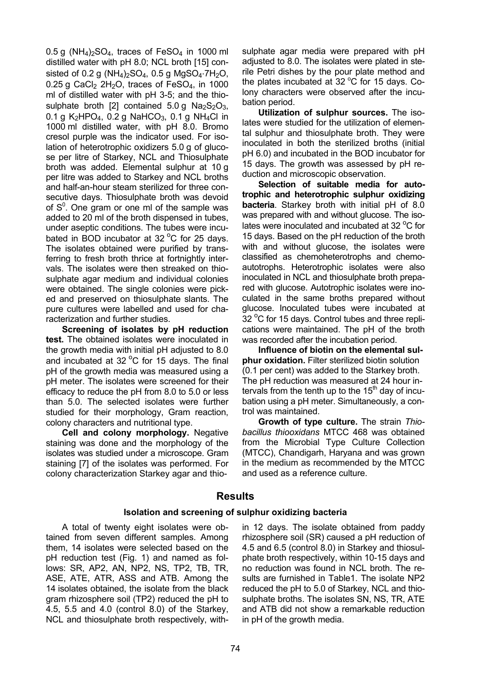0.5 g (NH<sub>4</sub>)<sub>2</sub>SO<sub>4</sub>, traces of FeSO<sub>4</sub> in 1000 ml distilled water with pH 8.0; NCL broth [15] consisted of  $0.2$  g (NH<sub>4</sub>)<sub>2</sub>SO<sub>4</sub>,  $0.5$  g MgSO<sub>4</sub>⋅7H<sub>2</sub>O, 0.25 g CaCl<sub>2</sub> 2H<sub>2</sub>O, traces of FeSO<sub>4</sub>, in 1000 ml of distilled water with pH 3-5; and the thiosulphate broth [2] contained  $5.0 g$  Na<sub>2</sub>S<sub>2</sub>O<sub>3</sub>, 0.1 g K<sub>2</sub>HPO<sub>4</sub>, 0.2 g NaHCO<sub>3</sub>, 0.1 g NH<sub>4</sub>Cl in 1000 ml distilled water, with pH 8.0. Bromo cresol purple was the indicator used. For isolation of heterotrophic oxidizers 5.0 g of glucose per litre of Starkey, NCL and Thiosulphate broth was added. Elemental sulphur at 10 g per litre was added to Starkey and NCL broths and half-an-hour steam sterilized for three consecutive days. Thiosulphate broth was devoid of  $S<sup>0</sup>$ . One gram or one ml of the sample was added to 20 ml of the broth dispensed in tubes, under aseptic conditions. The tubes were incubated in BOD incubator at 32 $\mathrm{^oC}$  for 25 days. The isolates obtained were purified by transferring to fresh broth thrice at fortnightly intervals. The isolates were then streaked on thiosulphate agar medium and individual colonies were obtained. The single colonies were picked and preserved on thiosulphate slants. The pure cultures were labelled and used for characterization and further studies.

**Screening of isolates by pH reduction test.** The obtained isolates were inoculated in the growth media with initial pH adjusted to 8.0 and incubated at 32  $^{\circ}$ C for 15 days. The final pH of the growth media was measured using a pH meter. The isolates were screened for their efficacy to reduce the pH from 8.0 to 5.0 or less than 5.0. The selected isolates were further studied for their morphology, Gram reaction, colony characters and nutritional type.

**Cell and colony morphology.** Negative staining was done and the morphology of the isolates was studied under a microscope. Gram staining [7] of the isolates was performed. For colony characterization Starkey agar and thiosulphate agar media were prepared with pH adjusted to 8.0. The isolates were plated in sterile Petri dishes by the pour plate method and the plates incubated at 32  $\mathrm{^oC}$  for 15 days. Colony characters were observed after the incubation period.

**Utilization of sulphur sources.** The isolates were studied for the utilization of elemental sulphur and thiosulphate broth. They were inoculated in both the sterilized broths (initial pH 6.0) and incubated in the BOD incubator for 15 days. The growth was assessed by pH reduction and microscopic observation.

**Selection of suitable media for autotrophic and heterotrophic sulphur oxidizing bacteria**. Starkey broth with initial pH of 8.0 was prepared with and without glucose. The isolates were inoculated and incubated at 32 $\mathrm{^oC}$  for 15 days. Based on the pH reduction of the broth with and without glucose, the isolates were classified as chemoheterotrophs and chemoautotrophs. Heterotrophic isolates were also inoculated in NCL and thiosulphate broth prepared with glucose. Autotrophic isolates were inoculated in the same broths prepared without glucose. Inoculated tubes were incubated at  $32<sup>o</sup>C$  for 15 days. Control tubes and three replications were maintained. The pH of the broth was recorded after the incubation period.

**Influence of biotin on the elemental sulphur oxidation.** Filter sterilized biotin solution (0.1 per cent) was added to the Starkey broth. The pH reduction was measured at 24 hour intervals from the tenth up to the  $15<sup>th</sup>$  day of incubation using a pH meter. Simultaneously, a control was maintained.

**Growth of type culture.** The strain *Thiobacillus thiooxidans* MTCC 468 was obtained from the Microbial Type Culture Collection (MTCC), Chandigarh, Haryana and was grown in the medium as recommended by the MTCC and used as a reference culture.

### **Results**

#### **Isolation and screening of sulphur oxidizing bacteria**

A total of twenty eight isolates were obtained from seven different samples. Among them, 14 isolates were selected based on the pH reduction test (Fig. 1) and named as follows: SR, AP2, AN, NP2, NS, TP2, TB, TR, ASE, ATE, ATR, ASS and ATB. Among the 14 isolates obtained, the isolate from the black gram rhizosphere soil (TP2) reduced the pH to 4.5, 5.5 and 4.0 (control 8.0) of the Starkey, NCL and thiosulphate broth respectively, within 12 days. The isolate obtained from paddy rhizosphere soil (SR) caused a pH reduction of 4.5 and 6.5 (control 8.0) in Starkey and thiosulphate broth respectively, within 10-15 days and no reduction was found in NCL broth. The results are furnished in Table1. The isolate NP2 reduced the pH to 5.0 of Starkey, NCL and thiosulphate broths. The isolates SN, NS, TR, ATE and ATB did not show a remarkable reduction in pH of the growth media.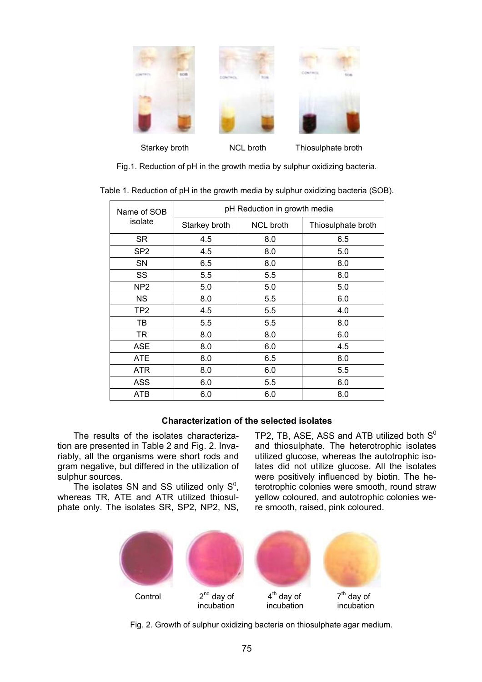

Fig.1. Reduction of pH in the growth media by sulphur oxidizing bacteria.

|  | Table 1. Reduction of pH in the growth media by sulphur oxidizing bacteria (SOB). |  |  |  |  |
|--|-----------------------------------------------------------------------------------|--|--|--|--|
|  |                                                                                   |  |  |  |  |

| Name of SOB     | pH Reduction in growth media |                  |                    |  |  |  |  |
|-----------------|------------------------------|------------------|--------------------|--|--|--|--|
| isolate         | Starkey broth                | <b>NCL broth</b> | Thiosulphate broth |  |  |  |  |
| SR.             | 4.5                          | 8.0              | 6.5                |  |  |  |  |
| SP <sub>2</sub> | 4.5                          | 8.0              | 5.0                |  |  |  |  |
| SN              | 6.5                          | 8.0              | 8.0                |  |  |  |  |
| SS              | 5.5                          | 5.5              | 8.0                |  |  |  |  |
| NP <sub>2</sub> | 5.0                          | 5.0              | 5.0                |  |  |  |  |
| <b>NS</b>       | 8.0                          | 5.5              | 6.0                |  |  |  |  |
| TP2             | 4.5                          | 5.5              | 4.0                |  |  |  |  |
| TB              | 5.5                          | 5.5              | 8.0                |  |  |  |  |
| TR              | 8.0                          | 8.0              | 6.0                |  |  |  |  |
| <b>ASE</b>      | 8.0                          | 6.0              | 4.5                |  |  |  |  |
| <b>ATE</b>      | 8.0                          | 6.5              | 8.0                |  |  |  |  |
| ATR             | 8.0                          | 6.0              | 5.5                |  |  |  |  |
| <b>ASS</b>      | 6.0                          | 5.5              | 6.0                |  |  |  |  |
| <b>ATB</b>      | 6.0                          | 6.0              | 8.0                |  |  |  |  |

### **Characterization of the selected isolates**

The results of the isolates characterization are presented in Table 2 and Fig. 2. Invariably, all the organisms were short rods and gram negative, but differed in the utilization of sulphur sources.

The isolates SN and SS utilized only  $S^0$ , whereas TR, ATE and ATR utilized thiosulphate only. The isolates SR, SP2, NP2, NS,

TP2, TB, ASE, ASS and ATB utilized both  $S^0$ and thiosulphate. The heterotrophic isolates utilized glucose, whereas the autotrophic isolates did not utilize glucose. All the isolates were positively influenced by biotin. The heterotrophic colonies were smooth, round straw yellow coloured, and autotrophic colonies were smooth, raised, pink coloured.



Fig. 2. Growth of sulphur oxidizing bacteria on thiosulphate agar medium.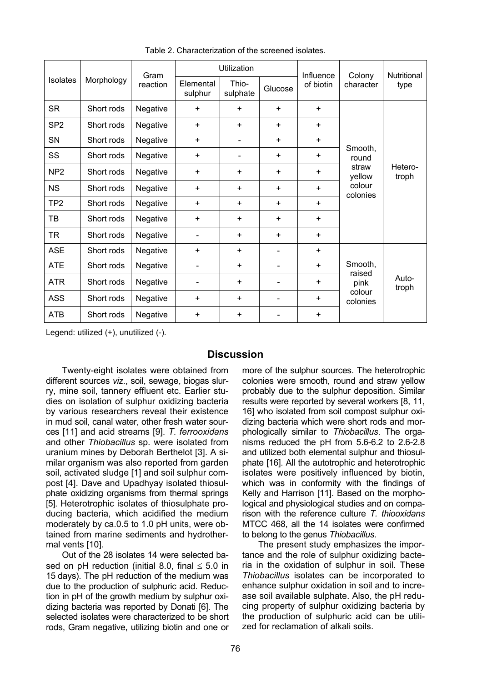|                 | Morphology | Gram<br>reaction | Utilization          |                          |           | Influence | Colony                                                    | <b>Nutritional</b> |
|-----------------|------------|------------------|----------------------|--------------------------|-----------|-----------|-----------------------------------------------------------|--------------------|
| <b>Isolates</b> |            |                  | Elemental<br>sulphur | Thio-<br>sulphate        | Glucose   | of biotin | character                                                 | type               |
| <b>SR</b>       | Short rods | Negative         | $+$                  | $+$                      | $\ddot{}$ | $\ddot{}$ |                                                           | Hetero-<br>troph   |
| SP <sub>2</sub> | Short rods | Negative         | $\ddot{}$            | $\ddot{}$                | $\ddot{}$ | ÷         | Smooth,<br>round<br>straw<br>yellow<br>colour<br>colonies |                    |
| SN              | Short rods | Negative         | $\ddot{}$            | -                        | $\ddot{}$ | $+$       |                                                           |                    |
| <b>SS</b>       | Short rods | Negative         | $\ddot{}$            | $\overline{\phantom{0}}$ | $\ddot{}$ | $+$       |                                                           |                    |
| NP <sub>2</sub> | Short rods | Negative         | $+$                  | $+$                      | $\ddot{}$ | +         |                                                           |                    |
| <b>NS</b>       | Short rods | Negative         | $\ddot{}$            | $+$                      | $\ddot{}$ | ÷         |                                                           |                    |
| TP <sub>2</sub> | Short rods | Negative         | $\ddot{}$            | $+$                      | $\ddot{}$ | $\ddot{}$ |                                                           |                    |
| TB              | Short rods | Negative         | $\ddot{}$            | $+$                      | $\ddot{}$ | $\ddot{}$ |                                                           |                    |
| <b>TR</b>       | Short rods | Negative         |                      | $+$                      | $\ddot{}$ | $\ddot{}$ |                                                           |                    |
| <b>ASE</b>      | Short rods | Negative         | $\ddot{}$            | $\ddot{}$                |           | $\ddot{}$ | Smooth,<br>raised<br>pink                                 | Auto-<br>troph     |
| <b>ATE</b>      | Short rods | Negative         |                      | $+$                      |           | $+$       |                                                           |                    |
| <b>ATR</b>      | Short rods | Negative         |                      | $\ddot{}$                |           | $\pm$     |                                                           |                    |
| <b>ASS</b>      | Short rods | Negative         | $\ddot{}$            | $+$                      |           | $\ddot{}$ | colour<br>colonies                                        |                    |
| <b>ATB</b>      | Short rods | Negative         | $\ddot{}$            | $\ddot{}$                |           | $+$       |                                                           |                    |

Table 2. Characterization of the screened isolates.

Legend: utilized (+), unutilized (-).

## **Discussion**

Twenty-eight isolates were obtained from different sources *viz*., soil, sewage, biogas slurry, mine soil, tannery effluent etc. Earlier studies on isolation of sulphur oxidizing bacteria by various researchers reveal their existence in mud soil, canal water, other fresh water sources [11] and acid streams [9]. *T. ferrooxidans*  and other *Thiobacillus* sp. were isolated from uranium mines by Deborah Berthelot [3]. A similar organism was also reported from garden soil, activated sludge [1] and soil sulphur compost [4]. Dave and Upadhyay isolated thiosulphate oxidizing organisms from thermal springs [5]. Heterotrophic isolates of thiosulphate producing bacteria, which acidified the medium moderately by ca.0.5 to 1.0 pH units, were obtained from marine sediments and hydrothermal vents [10].

Out of the 28 isolates 14 were selected based on pH reduction (initial 8.0, final  $\leq$  5.0 in 15 days). The pH reduction of the medium was due to the production of sulphuric acid. Reduction in pH of the growth medium by sulphur oxidizing bacteria was reported by Donati [6]. The selected isolates were characterized to be short rods, Gram negative, utilizing biotin and one or more of the sulphur sources. The heterotrophic colonies were smooth, round and straw yellow probably due to the sulphur deposition. Similar results were reported by several workers [8, 11, 16] who isolated from soil compost sulphur oxidizing bacteria which were short rods and morphologically similar to *Thiobacillus*. The organisms reduced the pH from 5.6-6.2 to 2.6-2.8 and utilized both elemental sulphur and thiosulphate [16]. All the autotrophic and heterotrophic isolates were positively influenced by biotin, which was in conformity with the findings of Kelly and Harrison [11]. Based on the morphological and physiological studies and on comparison with the reference culture *T. thiooxidans* MTCC 468, all the 14 isolates were confirmed to belong to the genus *Thiobacillus*.

The present study emphasizes the importance and the role of sulphur oxidizing bacteria in the oxidation of sulphur in soil. These *Thiobacillus* isolates can be incorporated to enhance sulphur oxidation in soil and to increase soil available sulphate. Also, the pH reducing property of sulphur oxidizing bacteria by the production of sulphuric acid can be utilized for reclamation of alkali soils.